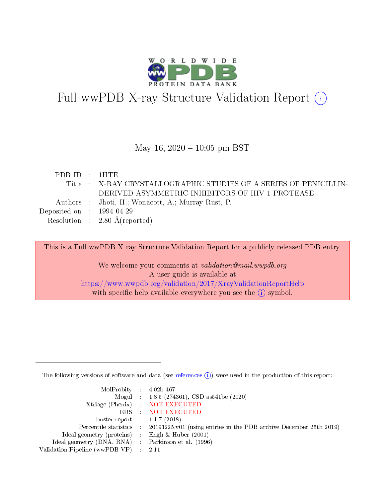

# Full wwPDB X-ray Structure Validation Report (i)

#### May 16,  $2020 - 10:05$  pm BST

| PDBID : 1HTE                         |                                                                   |
|--------------------------------------|-------------------------------------------------------------------|
|                                      | Title : X-RAY CRYSTALLOGRAPHIC STUDIES OF A SERIES OF PENICILLIN- |
|                                      | DERIVED ASYMMETRIC INHIBITORS OF HIV-1 PROTEASE                   |
|                                      | Authors : Jhoti, H.; Wonacott, A.; Murray-Rust, P.                |
| Deposited on $\therefore$ 1994-04-29 |                                                                   |
|                                      | Resolution : $2.80 \text{ Å}$ (reported)                          |
|                                      |                                                                   |

This is a Full wwPDB X-ray Structure Validation Report for a publicly released PDB entry.

We welcome your comments at validation@mail.wwpdb.org A user guide is available at <https://www.wwpdb.org/validation/2017/XrayValidationReportHelp> with specific help available everywhere you see the  $(i)$  symbol.

The following versions of software and data (see [references](https://www.wwpdb.org/validation/2017/XrayValidationReportHelp#references)  $(i)$ ) were used in the production of this report:

| MolProbity : $4.02b-467$                            |                                                                                            |
|-----------------------------------------------------|--------------------------------------------------------------------------------------------|
|                                                     | Mogul : $1.8.5$ (274361), CSD as 541be (2020)                                              |
|                                                     | Xtriage (Phenix) NOT EXECUTED                                                              |
|                                                     | EDS : NOT EXECUTED                                                                         |
| buster-report : $1.1.7(2018)$                       |                                                                                            |
|                                                     | Percentile statistics : 20191225.v01 (using entries in the PDB archive December 25th 2019) |
| Ideal geometry (proteins) : Engh $\&$ Huber (2001)  |                                                                                            |
| Ideal geometry (DNA, RNA) : Parkinson et al. (1996) |                                                                                            |
| Validation Pipeline (wwPDB-VP) : 2.11               |                                                                                            |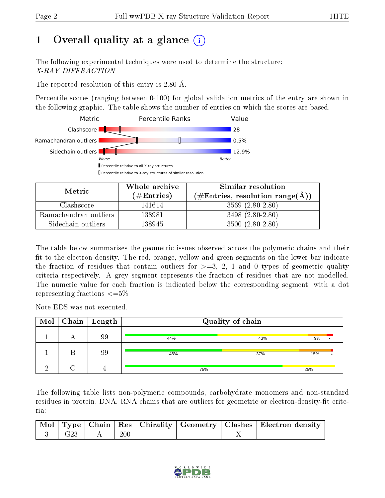# 1 [O](https://www.wwpdb.org/validation/2017/XrayValidationReportHelp#overall_quality)verall quality at a glance  $(i)$

The following experimental techniques were used to determine the structure: X-RAY DIFFRACTION

The reported resolution of this entry is 2.80 Å.

Percentile scores (ranging between 0-100) for global validation metrics of the entry are shown in the following graphic. The table shows the number of entries on which the scores are based.



| Metric                | Whole archive<br>$(\#\text{Entries})$ | Similar resolution<br>$(\#\text{Entries}, \text{resolution range}(\text{\AA}))$ |
|-----------------------|---------------------------------------|---------------------------------------------------------------------------------|
| Clashscore            | 141614                                | $3569(2.80-2.80)$                                                               |
| Ramachandran outliers | 138981                                | $3498(2.80-2.80)$                                                               |
| Sidechain outliers    | 138945                                | $3500(2.80-2.80)$                                                               |

The table below summarises the geometric issues observed across the polymeric chains and their fit to the electron density. The red, orange, yellow and green segments on the lower bar indicate the fraction of residues that contain outliers for  $\geq=3$ , 2, 1 and 0 types of geometric quality criteria respectively. A grey segment represents the fraction of residues that are not modelled. The numeric value for each fraction is indicated below the corresponding segment, with a dot representing fractions  $\epsilon = 5\%$ 

Note EDS was not executed.

|  | $\boxed{\text{Mol}}$ Chain   Length |     | Quality of chain |     |  |
|--|-------------------------------------|-----|------------------|-----|--|
|  | 99                                  | 44% | 43%              | 9%  |  |
|  | 99                                  | 46% | 37%              | 15% |  |
|  |                                     | 75% |                  | 25% |  |

The following table lists non-polymeric compounds, carbohydrate monomers and non-standard residues in protein, DNA, RNA chains that are outliers for geometric or electron-density-fit criteria:

|  |                                   |  |  | Mol   Type   Chain   Res   Chirality   Geometry   Clashes   Electron density |
|--|-----------------------------------|--|--|------------------------------------------------------------------------------|
|  | $3 \mid G23 \mid A \mid 200 \mid$ |  |  |                                                                              |

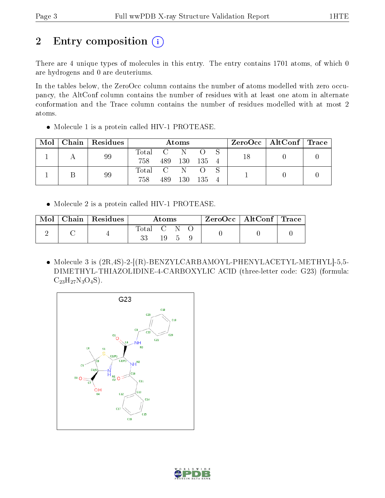# 2 Entry composition (i)

There are 4 unique types of molecules in this entry. The entry contains 1701 atoms, of which 0 are hydrogens and 0 are deuteriums.

In the tables below, the ZeroOcc column contains the number of atoms modelled with zero occupancy, the AltConf column contains the number of residues with at least one atom in alternate conformation and the Trace column contains the number of residues modelled with at most 2 atoms.

• Molecule 1 is a protein called HIV-1 PROTEASE.

| Mol | Chain | Residues | Atoms |     |     |     |  |    | $\rm ZeroOcc \mid AltConf \mid Trace$ |  |
|-----|-------|----------|-------|-----|-----|-----|--|----|---------------------------------------|--|
|     |       | 99       | Total |     |     |     |  | 18 |                                       |  |
|     |       |          | 758   | 489 | 130 | 135 |  |    |                                       |  |
|     |       | 99       | Total |     |     |     |  |    |                                       |  |
|     |       |          | 758   | 489 | 130 | 135 |  |    |                                       |  |

Molecule 2 is a protein called HIV-1 PROTEASE.

| Mol | Chain   Residues | Atoms     |     |  |  | $\text{ZeroOcc} \mid \text{AltConf} \mid \text{Trace} \mid$ |  |
|-----|------------------|-----------|-----|--|--|-------------------------------------------------------------|--|
|     |                  | Total C N | 19. |  |  |                                                             |  |

• Molecule 3 is  $(2R, 4S)$ -2- $[(R)$ -BENZYLCARBAMOYL-PHENYLACETYL-METHYL $]-5,5-$ DIMETHYL-THIAZOLIDINE-4-CARBOXYLIC ACID (three-letter code: G23) (formula:  $C_{23}H_{27}N_3O_4S$ .



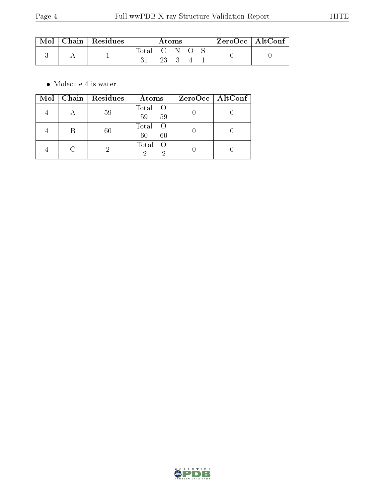| $\mod\,$ | $\mid$ Chain $\mid$ Residues | Atoms |     |  | $ZeroOcc$   AltConf |  |  |
|----------|------------------------------|-------|-----|--|---------------------|--|--|
|          |                              | Total |     |  |                     |  |  |
|          |                              |       | -23 |  |                     |  |  |

 $\bullet\,$  Molecule 4 is water.

| Mol | Chain  | Residues | Atoms             | ZeroOcc   AltConf |
|-----|--------|----------|-------------------|-------------------|
|     |        | 59       | Total<br>59<br>59 |                   |
|     | В      | 60       | Total<br>60<br>60 |                   |
|     | $\cap$ |          | Total             |                   |

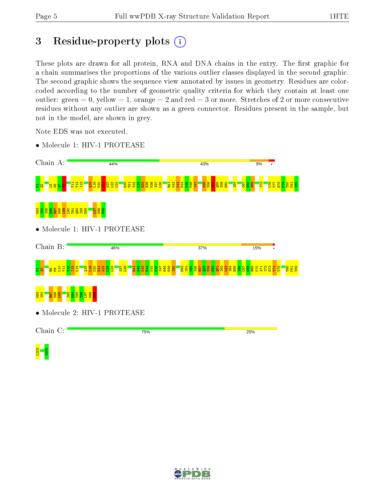<mark>ಇ ಜ</mark><br>ದ

# 3 Residue-property plots  $(i)$

These plots are drawn for all protein, RNA and DNA chains in the entry. The first graphic for a chain summarises the proportions of the various outlier classes displayed in the second graphic. The second graphic shows the sequence view annotated by issues in geometry. Residues are colorcoded according to the number of geometric quality criteria for which they contain at least one outlier: green  $= 0$ , yellow  $= 1$ , orange  $= 2$  and red  $= 3$  or more. Stretches of 2 or more consecutive residues without any outlier are shown as a green connector. Residues present in the sample, but not in the model, are shown in grey.

> L76 V77  $\frac{8}{15}$  $\frac{1}{2}$ T80 P81  $\frac{82}{2}$

> $\frac{3}{5}$  $\frac{1}{2}$ V75 T80 P81  $\frac{82}{2}$

25%

Note EDS was not executed.

• Molecule 1: HIV-1 PROTEASE Chain A: 44% 43% 9%  $\frac{24}{2}$ E34 P44 I64  $\overline{E}$ T12  $\frac{13}{1}$  $\frac{8}{2}$  $\frac{9}{1}$  $\frac{8}{2}$  $\bf \vec{\mathbf{a}}$   $\bf \vec{\mathbf{a}}$ A22  $\frac{23}{2}$ D30 T31  $\frac{82}{2}$  $\frac{3}{2}$ E35 M36  $\frac{57}{25}$  $\frac{8}{2}$ R41  $\frac{1}{2}$  $\frac{22}{5}$  $\frac{1}{2}$  $\frac{1}{2}$ I47 K55  $\frac{8}{5}$ <u>ទ្</u>គា  $\overline{p}$ Y59 D60  $\frac{25}{25}$  $\frac{8}{5}$ H69 I72 P2 2 B 2 B 2 B 2 <mark>P</mark> N83  $\frac{84}{1}$ I85  $\frac{8}{3}$ R87 N88  $\frac{8}{2}$  $\frac{8}{1}$ T91  $\frac{92}{2}$ I93  $56$  $\overline{5}$ N98  $\frac{8}{1}$ • Molecule 1: HIV-1 PROTEASE Chain B: 46% 37% 15% r <mark>8 \_ 8 5 1 1</mark>  $\frac{2}{11}$  $\frac{13}{2}$ K14  $\frac{8}{21}$  $\frac{1}{2}$  $\frac{1}{2}$  $\frac{22}{2}$  $\frac{3}{2}$  $\frac{124}{2}$  $\overline{\phantom{0}}$  $\frac{8}{2}$  $\frac{22}{3}$ K43 P44 K45 M46 I47 G48  $\frac{9}{2}$ I50 F53 I54 K55  $\frac{8}{10}$  $R_{\overline{57}}$  $\frac{8}{2}$  $\frac{8}{24}$  $\frac{8}{2}$  $\frac{2}{16}$ L63 I64  $\frac{5}{2}$ I66  $\frac{2}{180}$  $\frac{8}{10}$ H69 K70 I72  $\overline{21}$ R41  $\frac{1}{2}$ A71 N83 I84  $\frac{1}{8}$ N88  $\frac{189}{2}$ I93  $\frac{34}{5}$  $55^{\circ}$  $\frac{8}{1}$ L97  $\frac{8}{2}$  $\frac{3}{2}$ • Molecule 2: HIV-1 PROTEASE Chain C:

75%

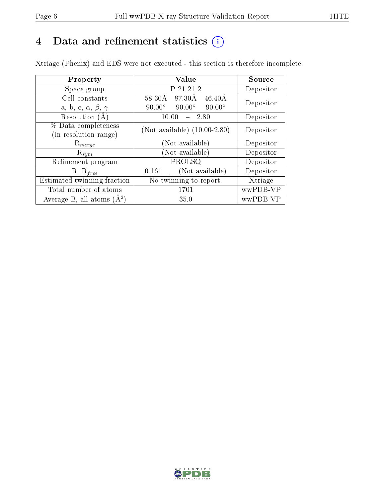# 4 Data and refinement statistics  $(i)$

Xtriage (Phenix) and EDS were not executed - this section is therefore incomplete.

| Property                               | <b>Value</b>                                    | Source    |  |
|----------------------------------------|-------------------------------------------------|-----------|--|
| Space group                            | P 21 21 2                                       | Depositor |  |
| Cell constants                         | 87.30Å<br>58.30Å<br>$46.40\text{\AA}$           | Depositor |  |
| a, b, c, $\alpha$ , $\beta$ , $\gamma$ | $90.00^\circ$<br>$90.00^\circ$<br>$90.00^\circ$ |           |  |
| Resolution $(A)$                       | 10.00<br>2.80                                   | Depositor |  |
| % Data completeness                    | (Not available) $(10.00-2.80)$                  | Depositor |  |
| (in resolution range)                  |                                                 |           |  |
| $\mathrm{R}_{merge}$                   | (Not available)                                 | Depositor |  |
| $\mathrm{R}_{sym}$                     | (Not available)                                 | Depositor |  |
| Refinement program                     | PROLSQ                                          | Depositor |  |
| $R, R_{free}$                          | (Not available)<br>0.161                        | Depositor |  |
| Estimated twinning fraction            | No twinning to report.                          | Xtriage   |  |
| Total number of atoms                  | 1701                                            | wwPDB-VP  |  |
| Average B, all atoms $(A^2)$           | 35.0                                            | wwPDB-VP  |  |

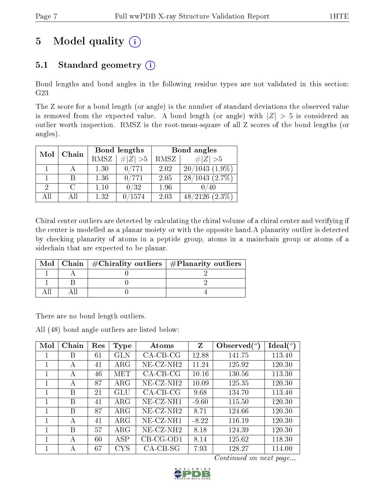# 5 Model quality  $(i)$

## 5.1 Standard geometry  $(i)$

Bond lengths and bond angles in the following residue types are not validated in this section: G23

The Z score for a bond length (or angle) is the number of standard deviations the observed value is removed from the expected value. A bond length (or angle) with  $|Z| > 5$  is considered an outlier worth inspection. RMSZ is the root-mean-square of all Z scores of the bond lengths (or angles).

| Mol | Chain  |      | Bond lengths | Bond angles |                      |  |
|-----|--------|------|--------------|-------------|----------------------|--|
|     |        | RMSZ | $\# Z  > 5$  | RMSZ        | # $ Z >5$            |  |
|     |        | 1.30 | 0/771        | 2.02        | $20/1043(1.9\%)$     |  |
|     |        | 1.36 | 0/771        | 2.05        | 28/1043(2.7%)        |  |
| 2   | $\cap$ | 1.10 | 0/32         | 1.96        |                      |  |
| AΠ  | Δ 11   | 1.32 | 1574         | 2.03        | 48/2126<br>$(2.3\%)$ |  |

Chiral center outliers are detected by calculating the chiral volume of a chiral center and verifying if the center is modelled as a planar moiety or with the opposite hand.A planarity outlier is detected by checking planarity of atoms in a peptide group, atoms in a mainchain group or atoms of a sidechain that are expected to be planar.

|  | Mol   Chain   $\#\text{Chirality outliers}$   $\#\text{Planarity outliers}$ |  |
|--|-----------------------------------------------------------------------------|--|
|  |                                                                             |  |
|  |                                                                             |  |
|  |                                                                             |  |

There are no bond length outliers.

All (48) bond angle outliers are listed below:

| Mol | Chain | Res | Type         | Atoms                    | Z       | Observed $(°)$ | $\text{Ideal}(\textsuperscript{o})$ |
|-----|-------|-----|--------------|--------------------------|---------|----------------|-------------------------------------|
| 1   | В     | 61  | GLN          | $CA-CB-CG$               | 12.88   | 141.75         | 113.40                              |
| 1   | А     | 41  | $\rm{ARG}$   | $NE$ -CZ-NH <sub>2</sub> | 11.24   | 125.92         | 120.30                              |
| 1   | А     | 46  | MET          | $CA-CB-CG$               | 10.16   | 130.56         | 113.30                              |
| 1   | А     | 87  | $\rm{ARG}$   | NE-CZ-NH <sub>2</sub>    | 10.09   | 125.35         | 120.30                              |
| 1   | В     | 21  | GLU          | $CA-CB-CG$               | 9.68    | 134.70         | 113.40                              |
| 1   | В     | 41  | $\rm{ARG}$   | NE-CZ-NH1                | $-9.60$ | 115.50         | 120.30                              |
| 1   | В     | 87  | $\rm{ARG}$   | $NE$ -CZ-NH <sub>2</sub> | 8.71    | 124.66         | 120.30                              |
| 1   | А     | 41  | $\rm{ARG}$   | NE-CZ-NH1                | $-8.22$ | 116.19         | 120.30                              |
| 1   | В     | 57  | $\rm{ARG}$   | $NE$ -CZ-NH <sub>2</sub> | 8.18    | 124.39         | 120.30                              |
| 1   | А     | 60  | ASP          | $CB-CG-OD1$              | 8.14    | 125.62         | 118.30                              |
|     | А     | 67  | $_{\rm CYS}$ | $CA-CB-SG$               | 7.93    | 128.27         | 114.00                              |

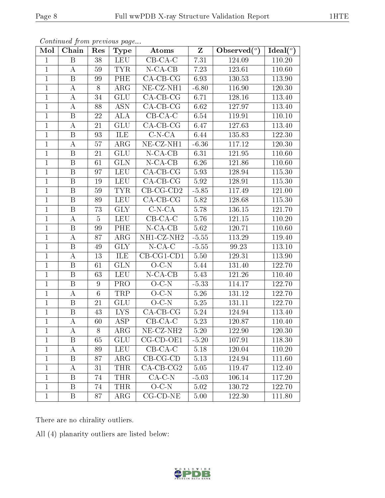| Mol            | Chain                   | Res             | <b>Type</b>             | Atoms                    | $\mathbf{Z}$ | Observed $(°)$ | Ideal $({}^o)$ |
|----------------|-------------------------|-----------------|-------------------------|--------------------------|--------------|----------------|----------------|
| $\mathbf{1}$   | B                       | 38              | <b>LEU</b>              | $CB-CA-C$                | 7.31         | 124.09         | 110.20         |
| $\mathbf{1}$   | $\bf{A}$                | 59              | <b>TYR</b>              | $N-CA-CB$                | 7.23         | 123.61         | 110.60         |
| $\mathbf{1}$   | $\, {\bf B}$            | 99              | PHE                     | $CA-CB-CG$               | 6.93         | 130.53         | 113.90         |
| $\mathbf 1$    | $\bf{A}$                | 8               | ${\rm ARG}$             | NE-CZ-NH1                | $-6.80$      | 116.90         | 120.30         |
| $\mathbf{1}$   | $\bf{A}$                | 34              | GLU                     | $CA-CB-CG$               | 6.71         | 128.16         | 113.40         |
| $\mathbf{1}$   | $\bf{A}$                | 88              | <b>ASN</b>              | $CA-CB-CG$               | 6.62         | 127.97         | 113.40         |
| $\mathbf{1}$   | B                       | 22              | <b>ALA</b>              | $CB-CA-C$                | 6.54         | 119.91         | 110.10         |
| $\overline{1}$ | $\bf{A}$                | 21              | GLU                     | $CA-CB-CG$               | 6.47         | 127.63         | 113.40         |
| $\mathbf{1}$   | $\boldsymbol{B}$        | 93              | ILE                     | $C-N-CA$                 | 6.44         | 135.83         | 122.30         |
| $\mathbf{1}$   | $\bf{A}$                | 57              | $\overline{\rm{ARG}}$   | $NE- CZ- NH1$            | $-6.36$      | 117.12         | 120.30         |
| $\mathbf{1}$   | B                       | 21              | <b>GLU</b>              | $N$ -CA-CB               | 6.31         | 121.95         | 110.60         |
| $\overline{1}$ | $\overline{\mathrm{B}}$ | 61              | $\overline{\text{GLN}}$ | $N$ -CA-CB               | 6.26         | 121.86         | 110.60         |
| $\mathbf{1}$   | $\, {\bf B}$            | 97              | <b>LEU</b>              | $CA-CB-CG$               | 5.93         | 128.94         | 115.30         |
| $\mathbf{1}$   | $\, {\bf B}$            | 19              | ${\rm LEU}$             | $\overline{CA-CB-CG}$    | 5.92         | 128.91         | $115.30\,$     |
| $\mathbf{1}$   | B                       | 59              | <b>TYR</b>              | $CB-CG-CD2$              | $-5.85$      | 117.49         | 121.00         |
| $\mathbf{1}$   | $\boldsymbol{B}$        | 89              | <b>LEU</b>              | $CA-CB-CG$               | 5.82         | 128.68         | 115.30         |
| $\mathbf{1}$   | $\, {\bf B}$            | 73              | <b>GLY</b>              | $C-N-CA$                 | 5.78         | 136.15         | 121.70         |
| $\mathbf{1}$   | $\bf{A}$                | $\overline{5}$  | <b>LEU</b>              | $CB-CA-C$                | 5.76         | 121.15         | 110.20         |
| $\mathbf{1}$   | $\, {\bf B}$            | 99              | PHE                     | $N$ -CA-CB               | 5.62         | 120.71         | 110.60         |
| $\mathbf{1}$   | A                       | 87              | $\rm{ARG}$              | NH1-CZ-NH2               | $-5.55$      | 113.29         | 119.40         |
| $\overline{1}$ | $\mathbf{B}$            | 49              | <b>GLY</b>              | $N$ -CA-C                | $-5.55$      | 99.23          | 113.10         |
| $\mathbf{1}$   | $\bf{A}$                | 13              | ILE                     | $CB-CG1-CD1$             | 5.50         | 129.31         | 113.90         |
| $\mathbf{1}$   | B                       | 61              | <b>GLN</b>              | $O-C-N$                  | 5.44         | 131.40         | 122.70         |
| $\mathbf{1}$   | B                       | 63              | <b>LEU</b>              | $N$ -CA-CB               | 5.43         | 121.26         | 110.40         |
| $\mathbf{1}$   | $\, {\bf B}$            | $\overline{9}$  | <b>PRO</b>              | $O-C-N$                  | $-5.33$      | 114.17         | 122.70         |
| $\mathbf{1}$   | $\bf{A}$                | $6\phantom{.}6$ | TRP                     | $O-C-N$                  | 5.26         | 131.12         | 122.70         |
| $\overline{1}$ | $\overline{\mathrm{B}}$ | 21              | GLU                     | $O-C-N$                  | 5.25         | 131.11         | 122.70         |
| $\mathbf{1}$   | B                       | 43              | LYS.                    | $CA-CB-CG$               | 5.24         | 124.94         | 113.40         |
| $\mathbf{1}$   | А                       | 60              | $\overline{\text{ASP}}$ | $CB-CA-C$                | 5.23         | 120.87         | 110.40         |
| $\perp$        | A                       | 8               | $\rm{ARG}$              | $NE$ -CZ-NH <sub>2</sub> | 5.20         | 122.90         | 120.30         |
| $\mathbf{1}$   | B                       | 65              | <b>GLU</b>              | CG-CD-OE1                | $-5.20$      | 107.91         | 118.30         |
| 1              | A                       | 89              | <b>LEU</b>              | $CB-CA-C$                | 5.18         | 120.04         | 110.20         |
| 1              | B                       | 87              | $\rm{ARG}$              | $CB-CG-CD$               | 5.13         | 124.94         | 111.60         |
| 1              | A                       | 31              | THR                     | $CA$ -CB-CG2             | 5.05         | 119.47         | 112.40         |
| $\mathbf{1}$   | B                       | 74              | <b>THR</b>              | $CA-C-N$                 | $-5.03$      | 106.14         | 117.20         |
| $\mathbf{1}$   | B                       | 74              | <b>THR</b>              | $O-C-N$                  | 5.02         | 130.72         | 122.70         |
| $\mathbf{1}$   | $\mathbf{B}$            | 87              | $\rm{ARG}$              | $CG$ - $CD$ - $NE$       | $5.00\,$     | 122.30         | 111.80         |

Continued from previous page...

There are no chirality outliers.

All (4) planarity outliers are listed below:

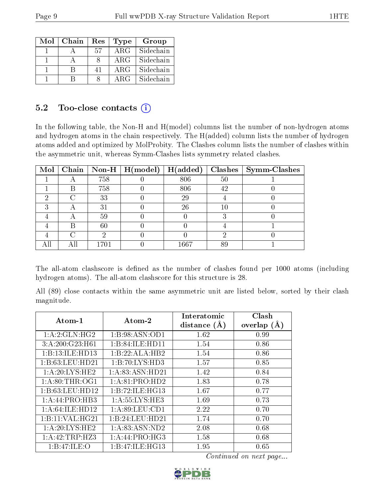| Mol | Chain | Res | Type       | Group     |
|-----|-------|-----|------------|-----------|
|     |       | 57  | $\rm{ARG}$ | Sidechain |
|     |       |     | $\rm{ARG}$ | Sidechain |
|     |       | 41  | $\rm{ARG}$ | Sidechain |
|     |       |     | ARG        | Sidechain |

#### 5.2 Too-close contacts (i)

In the following table, the Non-H and H(model) columns list the number of non-hydrogen atoms and hydrogen atoms in the chain respectively. The H(added) column lists the number of hydrogen atoms added and optimized by MolProbity. The Clashes column lists the number of clashes within the asymmetric unit, whereas Symm-Clashes lists symmetry related clashes.

| $\text{Mol}$ |   |      | Chain   Non-H   H(model) | H(added) |    | $Clashes$   Symm-Clashes |
|--------------|---|------|--------------------------|----------|----|--------------------------|
|              |   | 758  |                          | 806      | 50 |                          |
|              | В | 758  |                          | 806      | 42 |                          |
| 6)           |   | 33   |                          | 29       |    |                          |
|              |   | 31   |                          | 26       | 10 |                          |
|              |   | 59   |                          |          |    |                          |
|              | К | 60   |                          |          |    |                          |
|              |   |      |                          |          |    |                          |
|              |   | 1701 |                          | 1667     | 89 |                          |

The all-atom clashscore is defined as the number of clashes found per 1000 atoms (including hydrogen atoms). The all-atom clashscore for this structure is 28.

All (89) close contacts within the same asymmetric unit are listed below, sorted by their clash magnitude.

| Atom-1            | $\boldsymbol{\mathrm{Atom}\text{-}2}$ | Interatomic    | Clash         |
|-------------------|---------------------------------------|----------------|---------------|
|                   |                                       | distance $(A)$ | overlap $(A)$ |
| 1: A:2: GLN: HG2  | 1:B:98:ASN:OD1                        | 1.62           | 0.99          |
| 3:A:200:G23:H61   | 1:B:84:ILE:HD11                       | 1.54           | 0.86          |
| 1:B:13:ILE:HD13   | 1:B:22:ALA:HB2                        | 1.54           | 0.86          |
| 1:B:63:LEU:HD21   | 1:B:70:LYS:HD3                        | 1.57           | 0.85          |
| 1: A:20: LYS: HE2 | 1: A:83: ASN:HD21                     | 1.42           | 0.84          |
| 1: A:80:THR:OG1   | 1:A:81:PRO:HD2                        | 1.83           | 0.78          |
| 1: B:63:LEU:HD12  | 1:B:72:ILE:HG13                       | 1.67           | 0.77          |
| 1:A:44:PRO:HB3    | 1: A: 55: LYS: HE3                    | 1.69           | 0.73          |
| 1: A:64:ILE:HD12  | 1: A:89: LEU:CD1                      | 2.22           | 0.70          |
| 1: B:11: VAL:HG21 | 1:B:24:LEU:HD21                       | 1.74           | 0.70          |
| 1: A:20: LYS: HE2 | 1:A:83:ASN:ND2                        | 2.08           | 0.68          |
| 1: A:42:TRP:HZ3   | 1:A:44:PRO:HG3                        | 1.58           | 0.68          |
| 1:B:47:ILE:O      | 1:B:47:ILE:HG13                       | 1.95           | 0.65          |

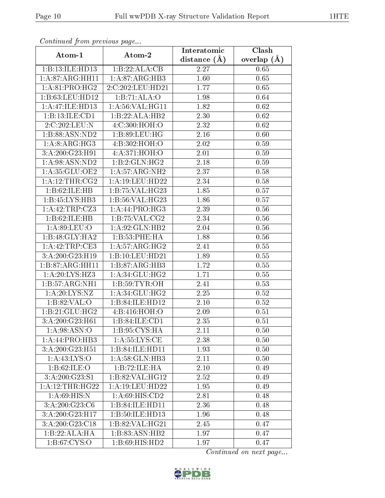| Continued from previous page       |                                        | Interatomic    | Clash<br>overlap $(A)$ |  |
|------------------------------------|----------------------------------------|----------------|------------------------|--|
| Atom-1                             | Atom-2                                 | distance $(A)$ |                        |  |
| 1:B:13:ILE:HD13                    | 1:B:22:ALA:CB                          | 2.27           | 0.65                   |  |
| 1:A:87:ARG:HH11                    | 1:A:87:ARG:HB3                         | 1.60           | 0.65                   |  |
| $1:A:81:PRO:H\overline{G2}$        | 2:C:202:LEU:HD21                       | 1.77           | 0.65                   |  |
| 1:B:63:LEU:HD12                    | 1:B:71:ALA:O                           | 1.98           | 0.64                   |  |
| 1:A:47:ILE:HD13                    | 1:A:56:VAL:HG11                        | 1.82           | 0.62                   |  |
| 1:B:13:ILE:CD1                     | 1:B:22:ALA:HB2                         | 2.30           | 0.62                   |  |
| 2:C:202:LEU:N                      | 4:C:300:HOH:O                          | 2.32           | 0.62                   |  |
| 1:B:88:ASN:ND2                     | 1:B:89:LEU:HG                          | 2.16           | 0.60                   |  |
| 1:A:8:ARG:HG3                      | 4:B:302:HOH:O                          | 2.02           | 0.59                   |  |
| 3:A:200:G23:H91                    | 4:A:371:HOH:O                          | 2.01           | 0.59                   |  |
| 1:A:98:ASN:ND2                     | 1:B:2:GLN:HG2                          | 2.18           | 0.59                   |  |
| 1:A:35:GLU:OE2                     | 1:A:57:ARG:NH2                         | 2.37           | 0.58                   |  |
| 1:A:12:THR:CG2                     | 1: A:19: LEU: HD22                     | 2.34           | 0.58                   |  |
| 1:B:62:ILE:HB                      | 1:B:75:VAL:HG23                        | 1.85           | 0.57                   |  |
| 1:B:45:LYS:HB3                     | 1:B:56:VAL:HG23                        | 1.86           | 0.57                   |  |
| 1:A:42:TRP:CZ3                     | 1:A:44:PRO:HG3                         | 2.39           | 0.56                   |  |
| 1:B:62:ILE:HB                      | 1:B:75:VAL:CG2                         | 2.34           | 0.56                   |  |
| 1: A:89: LEU:O                     | 1:A:92:GLN:HB2                         | 2.04           | $0.56\,$               |  |
| 1:B:48:GLY:HA2                     | 1:B:53:PHE:HA                          | 1.88           | 0.56                   |  |
| 1:A:42:TRP:CE3                     | 1:A:57:ARG:HG2                         | 2.41           | 0.55                   |  |
| 3:A:200:G23:H19                    | 1:B:10:LEU:HD21                        | 1.89           | 0.55                   |  |
| 1:B:87:ARG:HH11                    | 1:B:87:ARG:HB3                         | 1.72           | 0.55                   |  |
| 1:A:20:LYS:HZ3                     | 1: A:34: GLU: HG2                      | 1.71           | 0.55                   |  |
| 1:B:57:ARG:NH1                     | 1: B:59: TYR:OH                        | 2.41           | 0.53                   |  |
| 1:A:20:LYS:NZ                      | 1: A:34: GLU:HG2                       | 2.25           | 0.52                   |  |
| 1: B:82:VAL:O                      | 1:B:84:ILE:HD12                        | 2.10           | 0.52                   |  |
| 1:B:21:GLU:HG2                     | 4:B:416:HOH:O                          | 2.09           | 0.51                   |  |
| $3:A:200:G2\overline{3:H61}$       | $1: B:84: ILE: \widehat{\mathrm{CD1}}$ | 2.35           | 0.51                   |  |
| 1: A:98: ASN:O                     | 1:B:95:CYS:HA                          | 2.11           | 0.50                   |  |
| 1:A:44:PRO:HB3                     | 1: A: 55: LYS: CE                      | 2.38           | 0.50                   |  |
| 3:A:200:G23:H51                    | 1:B:84:ILE:HD11                        | 1.93           | 0.50                   |  |
| 1: A: 43: LYS: O                   | 1: A:58: GLN:HB3                       | 2.11           | 0.50                   |  |
| 1:B:62:ILE:O                       | 1:B:72:ILE:HA                          | 2.10           | 0.49                   |  |
| 3: A:200: G23: S1                  | 1:B:82:VAL:HG12                        | 2.52           | 0.49                   |  |
| 1:A:12:THR:HG22                    | 1: A: 19: LEU: HD22                    | 1.95           | 0.49                   |  |
| 1: A:69:HIS:N                      | $1: A:69: \overline{HIS:CD2}$          | 2.81           | 0.48                   |  |
| 3: A:200: G23: C6                  | 1:B:84:ILE:HD11                        | 2.36           | 0.48                   |  |
| 3:A:200:G23:H17                    | 1:B:50:ILE:HD13                        | 1.96           | 0.48                   |  |
| 3:A:200:G23:C18                    | 1:B:82:VAL:HG21                        | 2.45           | 0.47                   |  |
| 1:B:22:ALA:HA                      | 1:B:83:ASN:HB2                         | 1.97           | 0.47                   |  |
| $1: B:67: \overline{\text{CYS:O}}$ | 1:B:69:HIS:HD2                         | 1.97           | 0.47                   |  |

Continued from previous page.

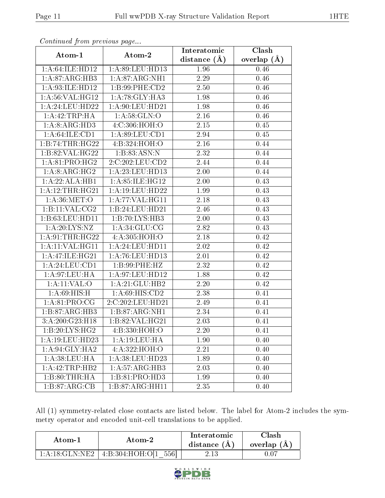| Continued from precious page |                                        | Interatomic       | Clash         |
|------------------------------|----------------------------------------|-------------------|---------------|
| Atom-1                       | Atom-2                                 | distance $(A)$    | overlap $(A)$ |
| 1:A:64:ILE:HD12              | 1:A:89:LEU:HD13                        | 1.96              | 0.46          |
| 1: A:87: ARG:HB3             | 1: A:87: ARG: NH1                      | 2.29              | 0.46          |
| 1:A:93:ILE:HD12              | 1:B:99:PHE:CD2                         | 2.50              | 0.46          |
| 1: A:56: VAL:HG12            | 1:A:78:GLY:HA3                         | 1.98              | 0.46          |
| $1:$ A:24:LEU:HD22           | 1:A:90:LEU:HD21                        | 1.98              | 0.46          |
| 1:A:42:TRP:HA                | 1: A:58: GLN:O                         | 2.16              | 0.46          |
| 1:A:8:ARG:HD3                | 4: C: 306: HOH:O                       | $\overline{2.15}$ | 0.45          |
| 1: A:64: ILE: CD1            | 1:A:89:LEU:CD1                         | 2.94              | 0.45          |
| 1:B:74:THR:HG22              | 4:B:324:HOH:O                          | 2.16              | 0.44          |
| 1:B:82:VAL:HG22              | 1:B:83:ASN:N                           | 2.32              | 0.44          |
| 1: A:81: PRO:HG2             | 2:C:202:LEU:CD2                        | 2.44              | 0.44          |
| 1:A:8:ARG:HG2                | 1:A:23:LEU:HD13                        | 2.00              | 0.44          |
| 1:A:22:ALA:HBI               | 1:A:85:ILE:HG12                        | 2.00              | 0.43          |
| 1:A:12:THR:HG21              | 1:A:19:LEU:HD22                        | 1.99              | 0.43          |
| 1: A:36: MET:O               | 1: A:77: VAL:HGI1                      | 2.18              | 0.43          |
| 1:B:11:VAL:CG2               | 1:B:24:LEU:HD21                        | 2.46              | 0.43          |
| 1:B:63:LEU:HD11              | 1:B:70:LYS:HB3                         | 2.00              | 0.43          |
| 1: A:20: LYS: NZ             | 1: A:34: GLU:CG                        | 2.82              | 0.43          |
| 1: A:91:THR:HG22             | 4:A:305:HOH:O                          | 2.18              | 0.42          |
| 1: A:11: VAL: HG11           | 1:A:24:LEU:HD11                        | 2.02              | 0.42          |
| 1:A:47:ILE:HG21              | 1: A:76: LEU: HD13                     | 2.01              | 0.42          |
| 1:A:24:LEU:CD1               | 1:B:99:PHE:HZ                          | 2.32              | 0.42          |
| 1: A:97: LEU: HA             | 1: A:97: LEU: HD12                     | 1.88              | 0.42          |
| $1:$ A:11:VAL:O              | 1:A:21:GLU:HB2                         | 2.20              | 0.42          |
| 1: A:69:HIS:H                | 1: A:69: HIS: CD2                      | 2.38              | 0.41          |
| 1: A:81: PRO:CG              | 2:C:202:LEU:HD21                       | 2.49              | 0.41          |
| 1:B:87:ARG:HB3               | 1:B:87:ARG:NH1                         | 2.34              | 0.41          |
| 3:A:200:G23:H18              | 1:B:82:VAL:HG21                        | 2.03              | 0.41          |
| 1: B:20: LYS: HG2            | 4:B:330:HOH:O                          | 2.20              | 0.41          |
| 1: A:19:LEU:HD23             | 1: A: 19: LEU: HA                      | 1.90              | 0.40          |
| 1:A:94:GLY:HA2               | 4:A:322:HOH:O                          | 2.21              | 0.40          |
| 1: A:38:LEU:HA               | 1:A:38:LEU:HD23                        | 1.89              | 0.40          |
| 1:A:42:TRP:HB2               | 1:A:57:ARG:HB3                         | 2.03              | 0.40          |
| 1:B:80:THR:HA                | $1:B:81:P\overline{RO:H\overline{D3}}$ | 1.99              | 0.40          |
| 1:B:87:ARG:CB                | 1:B:87:ARG:HH11                        | 2.35              | 0.40          |

Continued from previous page...

All (1) symmetry-related close contacts are listed below. The label for Atom-2 includes the symmetry operator and encoded unit-cell translations to be applied.

| Atom-1                    | Atom-2                  | Interatomic<br>distance $(A)$ | Clash<br>overlap $(A)$ |
|---------------------------|-------------------------|-------------------------------|------------------------|
| $1:$ A:18:GLN:NE2 $\perp$ | $+4:B:304:HOH:O[1 556]$ | 2.13                          | D.O7                   |

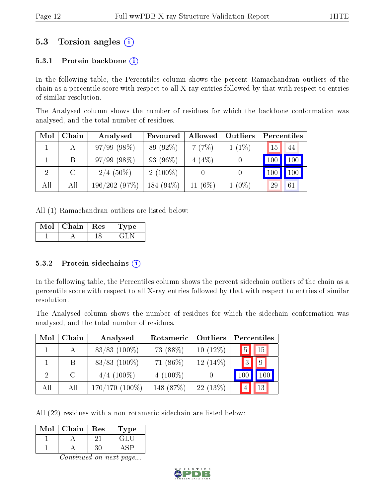### 5.3 Torsion angles (i)

#### 5.3.1 Protein backbone  $(i)$

In the following table, the Percentiles column shows the percent Ramachandran outliers of the chain as a percentile score with respect to all X-ray entries followed by that with respect to entries of similar resolution.

The Analysed column shows the number of residues for which the backbone conformation was analysed, and the total number of residues.

| Mol | ${\rm Chain}$ | Analysed      | Favoured     | Allowed    | Outliers |     | Percentiles |
|-----|---------------|---------------|--------------|------------|----------|-----|-------------|
|     |               | $97/99(98\%)$ | 89 (92\%)    | 7(7%)      | $1(1\%)$ | 15  | 44          |
|     | B             | $97/99(98\%)$ | 93 (96\%)    | $4(4\%)$   | 0        | 100 | 100         |
| 2   | $\mathcal{C}$ | $2/4$ (50%)   | $2(100\%)$   |            | 0        |     | 100         |
| All | All           | 196/202(97%)  | 184 $(94\%)$ | 11 $(6\%)$ | $1(0\%)$ | 29  | 61          |

All (1) Ramachandran outliers are listed below:

| √al | Chain | $\perp$ Res | pe. |
|-----|-------|-------------|-----|
|     |       |             |     |

#### 5.3.2 Protein sidechains  $\left( \widehat{\mathbf{i}} \right)$

In the following table, the Percentiles column shows the percent sidechain outliers of the chain as a percentile score with respect to all X-ray entries followed by that with respect to entries of similar resolution.

The Analysed column shows the number of residues for which the sidechain conformation was analysed, and the total number of residues.

| Mol           | Chain         | Analysed            | Rotameric   | <b>Outliers</b> | Percentiles |             |
|---------------|---------------|---------------------|-------------|-----------------|-------------|-------------|
|               |               | $83/83$ (100%)      | 73 (88%)    | $10(12\%)$      | 5           | $\vert$ 15  |
|               | B.            | $83/83$ (100%)      | 71 $(86\%)$ | $12(14\%)$      | $\cdot$ 3   | $ 9\rangle$ |
| $\mathcal{D}$ | $\mathcal{C}$ | $4/4$ (100\%)       | $4(100\%)$  |                 | 100         | 100         |
| All           | All           | $170/170$ $(100\%)$ | 148 (87%)   | $22(13\%)$      |             | 13          |

All (22) residues with a non-rotameric sidechain are listed below:

| Mol | Chain | Res | ype    |
|-----|-------|-----|--------|
|     |       |     | ا خانی |
|     |       |     |        |

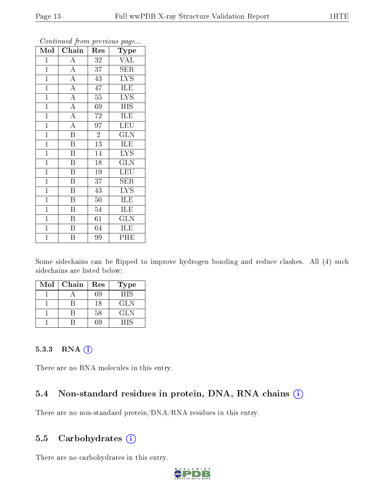| $\overline{\text{Mol}}$ | $Ch\overline{ain}$      | Res             | $\overline{\phantom{a}}$<br>${\bf Type}$ |
|-------------------------|-------------------------|-----------------|------------------------------------------|
| $\mathbf{1}$            | $\overline{\rm A}$      | 32              | <b>VAL</b>                               |
| $\mathbf{1}$            | $\overline{A}$          | 37              | <b>SER</b>                               |
| $\overline{1}$          | $\overline{A}$          | 43              | $\overline{\text{LYS}}$                  |
| $\mathbf{1}$            | $\overline{A}$          | 47              | ILE                                      |
| $\overline{1}$          | $\overline{A}$          | $\overline{55}$ | $\overline{\mathrm{LYS}}$                |
| $\mathbf{1}$            | $\overline{A}$          | 69              | <b>HIS</b>                               |
| $\mathbf{1}$            | $\overline{A}$          | 72              | ILE                                      |
| $\mathbf{1}$            | $\overline{\rm A}$      | $9\overline{7}$ | $\overline{\text{LEU}}$                  |
| $\mathbf{1}$            | $\overline{\mathrm{B}}$ | $\overline{2}$  | <b>GLN</b>                               |
| $\overline{1}$          | $\overline{\mathrm{B}}$ | $\overline{13}$ | <b>ILE</b>                               |
| $\mathbf{1}$            | $\overline{\mathrm{B}}$ | 14              | <b>LYS</b>                               |
| $\mathbf{1}$            | $\overline{\mathbf{B}}$ | 18              | $\overline{\text{GLN}}$                  |
| $\mathbf{1}$            | B                       | 19              | $\overline{\text{LEU}}$                  |
| $\overline{1}$          | $\overline{\mathbf{B}}$ | 37              | $\overline{\text{SER}}$                  |
| $\overline{1}$          | $\overline{\mathrm{B}}$ | 43              | $\overline{\text{LYS}}$                  |
| $\mathbf{1}$            | $\, {\bf B}$            | 50              | ILE                                      |
| $\mathbf{1}$            | $\overline{\mathrm{B}}$ | 54              | ILE                                      |
| $\mathbf{1}$            | $\boldsymbol{B}$        | 61              | <b>GLN</b>                               |
| $\mathbf{1}$            | B                       | 64              | ILE                                      |
| $\overline{1}$          | $\overline{\mathrm{B}}$ | 99              | PHE                                      |

Continued from previous page...

Some sidechains can be flipped to improve hydrogen bonding and reduce clashes. All (4) such sidechains are listed below:

| Mol | Chain | Res | <b>Type</b> |
|-----|-------|-----|-------------|
|     |       | 69  | <b>HIS</b>  |
|     |       | 18  | <b>GLN</b>  |
|     |       | 58  | GLN         |
|     |       | ۶G  | НIS         |

#### 5.3.3 RNA [O](https://www.wwpdb.org/validation/2017/XrayValidationReportHelp#rna)i

There are no RNA molecules in this entry.

### 5.4 Non-standard residues in protein, DNA, RNA chains (i)

There are no non-standard protein/DNA/RNA residues in this entry.

### 5.5 Carbohydrates  $(i)$

There are no carbohydrates in this entry.

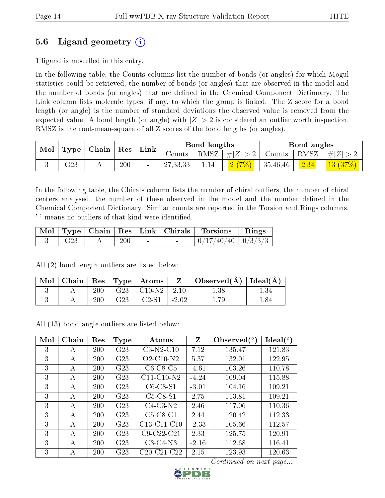### 5.6 Ligand geometry (i)

1 ligand is modelled in this entry.

In the following table, the Counts columns list the number of bonds (or angles) for which Mogul statistics could be retrieved, the number of bonds (or angles) that are observed in the model and the number of bonds (or angles) that are dened in the Chemical Component Dictionary. The Link column lists molecule types, if any, to which the group is linked. The Z score for a bond length (or angle) is the number of standard deviations the observed value is removed from the expected value. A bond length (or angle) with  $|Z| > 2$  is considered an outlier worth inspection. RMSZ is the root-mean-square of all Z scores of the bond lengths (or angles).

| Mol                  | Chain<br>$\operatorname{Res}$ |  | Link | Bond lengths |            |             | Bond angles |          |           |         |
|----------------------|-------------------------------|--|------|--------------|------------|-------------|-------------|----------|-----------|---------|
| $\perp$ Type $\perp$ |                               |  |      | Counts-      | RMSZ       | $+  Z  > 2$ | ' Counts    | RMSZ     | $\pm  Z $ |         |
|                      | $\rm G23$                     |  | 200  | $\sim$       | 27, 33, 33 | 1.14        | 2(7%)       | 35,46,46 | 2.34      | 13(37%) |

In the following table, the Chirals column lists the number of chiral outliers, the number of chiral centers analysed, the number of these observed in the model and the number defined in the Chemical Component Dictionary. Similar counts are reported in the Torsion and Rings columns. '-' means no outliers of that kind were identified.

|                 |     |        | Mol   Type   Chain   Res   Link   Chirals   Torsions   Rings |  |
|-----------------|-----|--------|--------------------------------------------------------------|--|
| G <sub>23</sub> | 200 | $\sim$ | $0/17/40/40$   $0/3/3/3$                                     |  |

All (2) bond length outliers are listed below:

| Mol |     |     | $\vert$ Chain   Res   Type   Atoms | $\mathbf{Z}$ | $\vert$ Observed( $\rm \AA$ ) $\vert$ Ideal( $\rm \AA$ ) |         |
|-----|-----|-----|------------------------------------|--------------|----------------------------------------------------------|---------|
|     | 200 |     | $G23   C10-N2   2.10$              |              | 1.38                                                     |         |
|     | 200 | G23 | $C2-S1$                            | $-2.02$      |                                                          | ـ 84. ، |

All (13) bond angle outliers are listed below:

| Mol | Chain | Res        | Type            | Atoms                                 | Z       | Observed $\binom{o}{c}$ | Ideal $(^\circ)$ |
|-----|-------|------------|-----------------|---------------------------------------|---------|-------------------------|------------------|
| 3   | А     | 200        | G23             | $C3-N2-C10$                           | 7.12    | 135.47                  | 121.83           |
| 3   | А     | <b>200</b> | G23             | $O2$ -C <sub>10</sub> -N <sub>2</sub> | 5.37    | 132.01                  | 122.95           |
| 3   | А     | 200        | G23             | $C6-C8-C5$                            | $-4.61$ | 103.26                  | 110.78           |
| 3   | А     | <b>200</b> | G <sub>23</sub> | $C11-C10-N2$                          | $-4.24$ | 109.04                  | 115.88           |
| 3   | A     | <b>200</b> | G <sub>23</sub> | $C6-C8-S1$                            | $-3.01$ | 104.16                  | 109.21           |
| 3   | А     | <b>200</b> | G23             | $C5-C8-S1$                            | 2.75    | 113.81                  | 109.21           |
| 3   | А     | 200        | G <sub>23</sub> | $C4-C3-N2$                            | 2.46    | 117.06                  | 110.36           |
| 3   | А     | 200        | G <sub>23</sub> | $C5-C8-C1$                            | 2.44    | 120.42                  | 112.33           |
| 3   | A     | 200        | G23             | C13-C11-C10                           | $-2.33$ | 105.66                  | 112.57           |
| 3   | A     | <b>200</b> | G <sub>23</sub> | $C9-C22-C21$                          | 2.33    | 125.75                  | 120.91           |
| 3   | A     | 200        | G <sub>23</sub> | $C3-C4-N3$                            | $-2.16$ | 112.68                  | 116.41           |
| 3   | А     | <b>200</b> | G <sub>23</sub> | $C20-C21-C22$                         | 2.15    | 123.93                  | 120.63           |

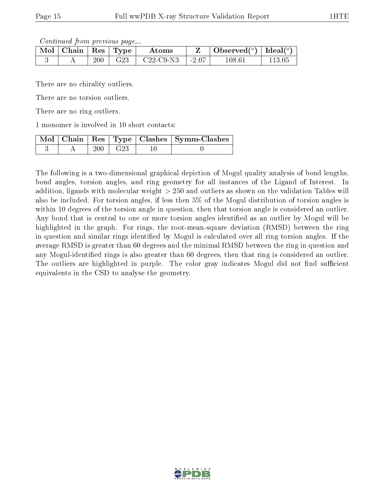Continued from previous page...

| Mol | Chain   Res <sup> </sup> |     | Type            | Atoms       |         | Observed( $^{\circ}$ )   Ideal( $^{\circ}$ ) |  |
|-----|--------------------------|-----|-----------------|-------------|---------|----------------------------------------------|--|
|     |                          | 200 | G <sub>23</sub> | $C22-C9-N3$ | $-2.07$ | 108.61                                       |  |

There are no chirality outliers.

There are no torsion outliers.

There are no ring outliers.

1 monomer is involved in 10 short contacts:

|  |     | Mol   Chain   Res   Type   Clashes   Symm-Clashes |
|--|-----|---------------------------------------------------|
|  | G23 |                                                   |

The following is a two-dimensional graphical depiction of Mogul quality analysis of bond lengths, bond angles, torsion angles, and ring geometry for all instances of the Ligand of Interest. In addition, ligands with molecular weight > 250 and outliers as shown on the validation Tables will also be included. For torsion angles, if less then 5% of the Mogul distribution of torsion angles is within 10 degrees of the torsion angle in question, then that torsion angle is considered an outlier. Any bond that is central to one or more torsion angles identified as an outlier by Mogul will be highlighted in the graph. For rings, the root-mean-square deviation (RMSD) between the ring in question and similar rings identified by Mogul is calculated over all ring torsion angles. If the average RMSD is greater than 60 degrees and the minimal RMSD between the ring in question and any Mogul-identified rings is also greater than 60 degrees, then that ring is considered an outlier. The outliers are highlighted in purple. The color gray indicates Mogul did not find sufficient equivalents in the CSD to analyse the geometry.

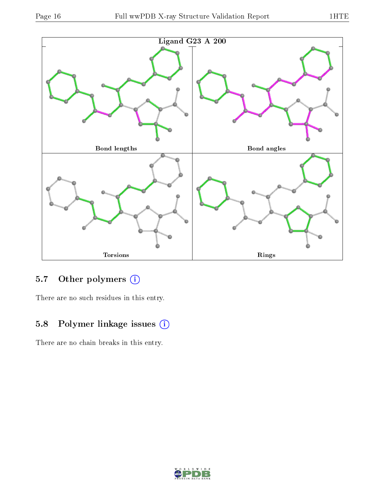

## 5.7 [O](https://www.wwpdb.org/validation/2017/XrayValidationReportHelp#nonstandard_residues_and_ligands)ther polymers (i)

There are no such residues in this entry.

## 5.8 Polymer linkage issues (i)

There are no chain breaks in this entry.